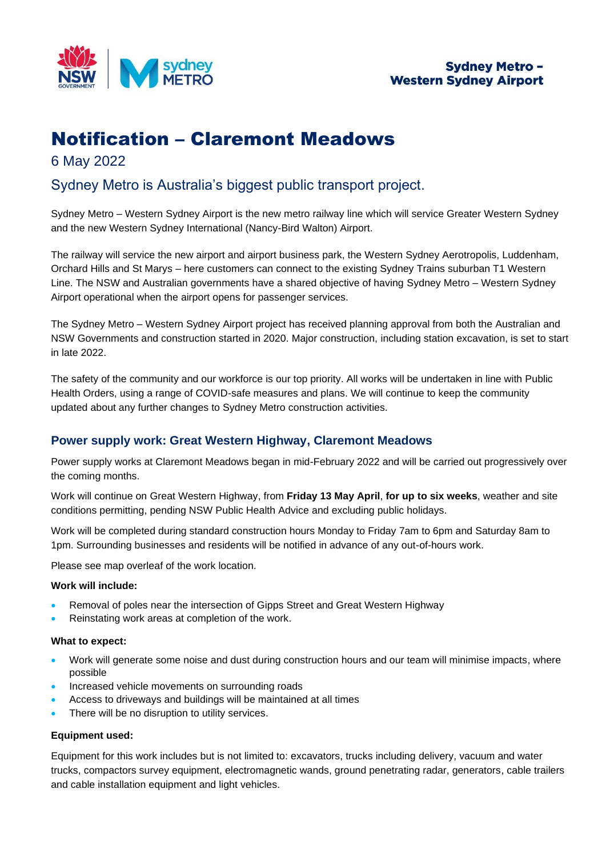

# Notification – Claremont Meadows

6 May 2022

## Sydney Metro is Australia's biggest public transport project.

Sydney Metro – Western Sydney Airport is the new metro railway line which will service Greater Western Sydney and the new Western Sydney International (Nancy-Bird Walton) Airport.

The railway will service the new airport and airport business park, the Western Sydney Aerotropolis, Luddenham, Orchard Hills and St Marys – here customers can connect to the existing Sydney Trains suburban T1 Western Line. The NSW and Australian governments have a shared objective of having Sydney Metro – Western Sydney Airport operational when the airport opens for passenger services.

The Sydney Metro – Western Sydney Airport project has received planning approval from both the Australian and NSW Governments and construction started in 2020. Major construction, including station excavation, is set to start in late 2022.

The safety of the community and our workforce is our top priority. All works will be undertaken in line with Public Health Orders, using a range of COVID-safe measures and plans. We will continue to keep the community updated about any further changes to Sydney Metro construction activities.

### **Power supply work: Great Western Highway, Claremont Meadows**

Power supply works at Claremont Meadows began in mid-February 2022 and will be carried out progressively over the coming months.

Work will continue on Great Western Highway, from **Friday 13 May April**, **for up to six weeks**, weather and site conditions permitting, pending NSW Public Health Advice and excluding public holidays.

Work will be completed during standard construction hours Monday to Friday 7am to 6pm and Saturday 8am to 1pm. Surrounding businesses and residents will be notified in advance of any out-of-hours work.

Please see map overleaf of the work location.

#### **Work will include:**

- Removal of poles near the intersection of Gipps Street and Great Western Highway
- Reinstating work areas at completion of the work.

#### **What to expect:**

- Work will generate some noise and dust during construction hours and our team will minimise impacts, where possible
- Increased vehicle movements on surrounding roads
- Access to driveways and buildings will be maintained at all times
- There will be no disruption to utility services.

#### **Equipment used:**

Equipment for this work includes but is not limited to: excavators, trucks including delivery, vacuum and water trucks, compactors survey equipment, electromagnetic wands, ground penetrating radar, generators, cable trailers and cable installation equipment and light vehicles.